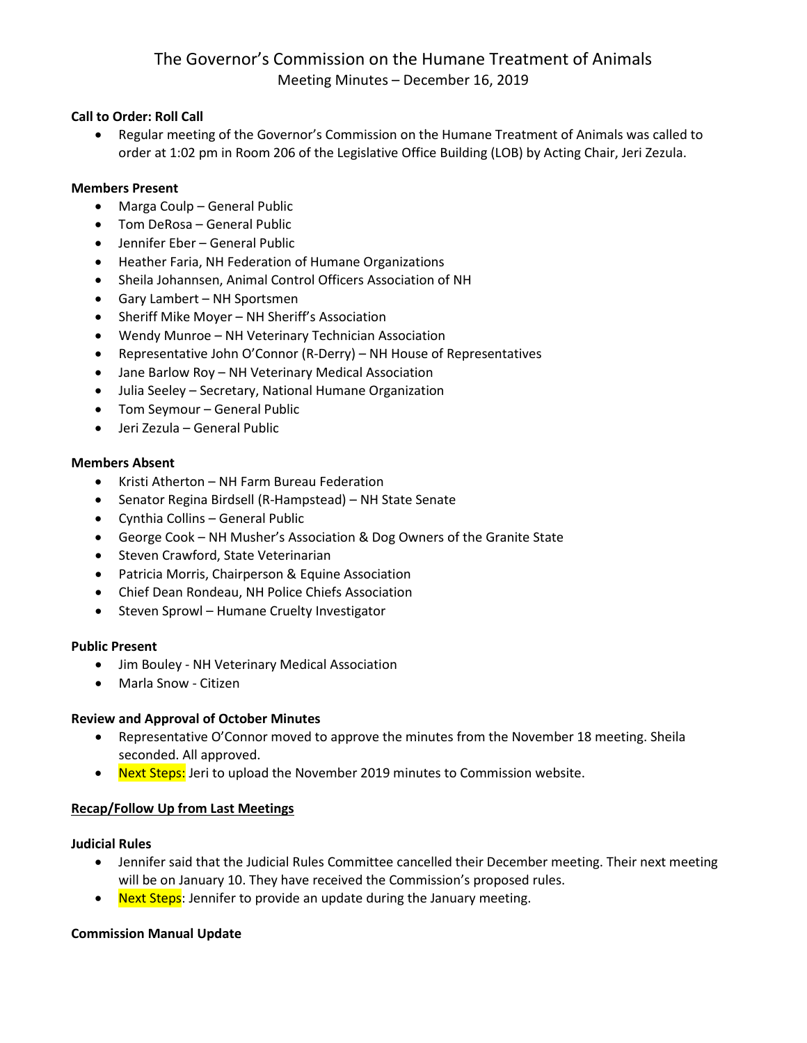# The Governor's Commission on the Humane Treatment of Animals Meeting Minutes – December 16, 2019

# **Call to Order: Roll Call**

• Regular meeting of the Governor's Commission on the Humane Treatment of Animals was called to order at 1:02 pm in Room 206 of the Legislative Office Building (LOB) by Acting Chair, Jeri Zezula.

#### **Members Present**

- Marga Coulp General Public
- Tom DeRosa General Public
- Jennifer Eber General Public
- Heather Faria, NH Federation of Humane Organizations
- Sheila Johannsen, Animal Control Officers Association of NH
- Gary Lambert NH Sportsmen
- Sheriff Mike Moyer NH Sheriff's Association
- Wendy Munroe NH Veterinary Technician Association
- Representative John O'Connor (R-Derry) NH House of Representatives
- Jane Barlow Roy NH Veterinary Medical Association
- Julia Seeley Secretary, National Humane Organization
- Tom Seymour General Public
- Jeri Zezula General Public

# **Members Absent**

- Kristi Atherton NH Farm Bureau Federation
- Senator Regina Birdsell (R-Hampstead) NH State Senate
- Cynthia Collins General Public
- George Cook NH Musher's Association & Dog Owners of the Granite State
- Steven Crawford, State Veterinarian
- Patricia Morris, Chairperson & Equine Association
- Chief Dean Rondeau, NH Police Chiefs Association
- Steven Sprowl Humane Cruelty Investigator

# **Public Present**

- Jim Bouley NH Veterinary Medical Association
- Marla Snow Citizen

# **Review and Approval of October Minutes**

- Representative O'Connor moved to approve the minutes from the November 18 meeting. Sheila seconded. All approved.
- Next Steps: Jeri to upload the November 2019 minutes to Commission website.

# **Recap/Follow Up from Last Meetings**

#### **Judicial Rules**

- Jennifer said that the Judicial Rules Committee cancelled their December meeting. Their next meeting will be on January 10. They have received the Commission's proposed rules.
- Next Steps: Jennifer to provide an update during the January meeting.

# **Commission Manual Update**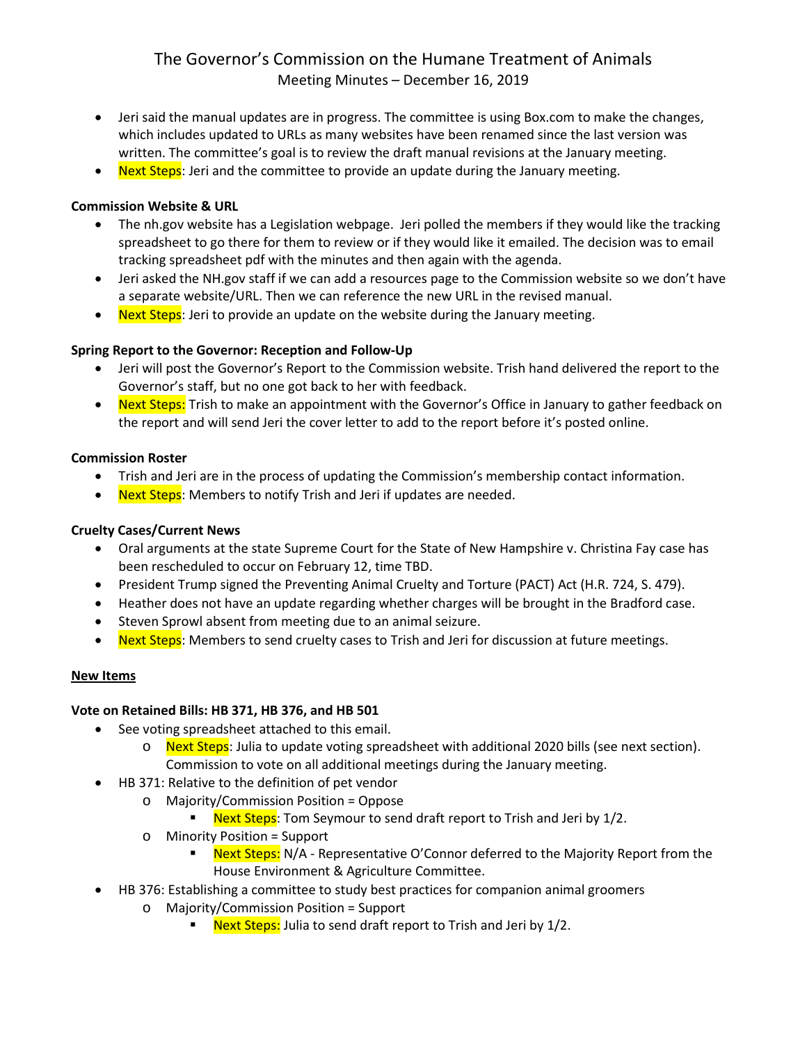# The Governor's Commission on the Humane Treatment of Animals Meeting Minutes – December 16, 2019

- Jeri said the manual updates are in progress. The committee is using Box.com to make the changes, which includes updated to URLs as many websites have been renamed since the last version was written. The committee's goal is to review the draft manual revisions at the January meeting.
- Next Steps: Jeri and the committee to provide an update during the January meeting.

# **Commission Website & URL**

- The nh.gov website has a Legislation webpage. Jeri polled the members if they would like the tracking spreadsheet to go there for them to review or if they would like it emailed. The decision was to email tracking spreadsheet pdf with the minutes and then again with the agenda.
- Jeri asked the NH.gov staff if we can add a resources page to the Commission website so we don't have a separate website/URL. Then we can reference the new URL in the revised manual.
- Next Steps: Jeri to provide an update on the website during the January meeting.

# **Spring Report to the Governor: Reception and Follow-Up**

- Jeri will post the Governor's Report to the Commission website. Trish hand delivered the report to the Governor's staff, but no one got back to her with feedback.
- Next Steps: Trish to make an appointment with the Governor's Office in January to gather feedback on the report and will send Jeri the cover letter to add to the report before it's posted online.

# **Commission Roster**

- Trish and Jeri are in the process of updating the Commission's membership contact information.
- Next Steps: Members to notify Trish and Jeri if updates are needed.

# **Cruelty Cases/Current News**

- Oral arguments at the state Supreme Court for the State of New Hampshire v. Christina Fay case has been rescheduled to occur on February 12, time TBD.
- President Trump signed the Preventing Animal Cruelty and Torture (PACT) Act (H.R. 724, S. 479).
- Heather does not have an update regarding whether charges will be brought in the Bradford case.
- Steven Sprowl absent from meeting due to an animal seizure.
- Next Steps: Members to send cruelty cases to Trish and Jeri for discussion at future meetings.

# **New Items**

# **Vote on Retained Bills: HB 371, HB 376, and HB 501**

- See voting spreadsheet attached to this email.
	- o Next Steps: Julia to update voting spreadsheet with additional 2020 bills (see next section). Commission to vote on all additional meetings during the January meeting.
- HB 371: Relative to the definition of pet vendor
	- o Majority/Commission Position = Oppose
		- **Next Steps:** Tom Seymour to send draft report to Trish and Jeri by 1/2.
		- o Minority Position = Support<br>Novt Stens: N/A Re
			- Next Steps: N/A Representative O'Connor deferred to the Majority Report from the House Environment & Agriculture Committee.
- HB 376: Establishing a committee to study best practices for companion animal groomers
	- o Majority/Commission Position = Support
		- Next Steps: Julia to send draft report to Trish and Jeri by 1/2.